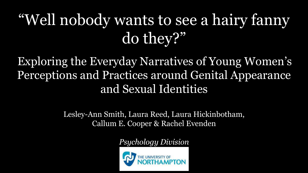# "Well nobody wants to see a hairy fanny do they?"

Exploring the Everyday Narratives of Young Women's Perceptions and Practices around Genital Appearance and Sexual Identities

> Lesley-Ann Smith, Laura Reed, Laura Hickinbotham, Callum E. Cooper & Rachel Evenden

> > *Psychology Division*

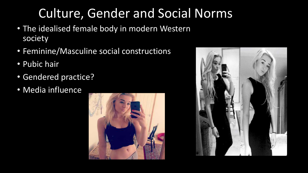# Culture, Gender and Social Norms

- The idealised female body in modern Western society
- Feminine/Masculine social constructions
- Pubic hair
- Gendered practice?
- Media influence



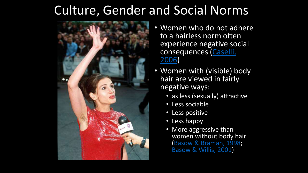#### Culture, Gender and Social Norms



- Women who do not adhere to a hairless norm often experience negative social consequences (Caselli, 2006)
- Women with (visible) body hair are viewed in fairly negative ways:
	- as less (sexually) attractive
	- Less sociable
	- Less positive
	- Less happy
	- More aggressive than women without body hair (Basow & Braman, 1998; Basow & Willis, 2001)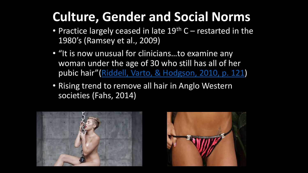# **Culture, Gender and Social Norms**

- Practice largely ceased in late  $19<sup>th</sup>$  C restarted in the 1980's (Ramsey et al., 2009)
- "It is now unusual for clinicians...to examine any woman under the age of 30 who still has all of her pubic hair" (Riddell, Varto, & Hodgson, 2010, p. 121)
- Rising trend to remove all hair in Anglo Western societies (Fahs, 2014)



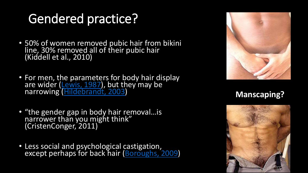# **Gendered practice?**

- 50% of women removed pubic hair from bikini<br>line, 30% removed all of their pubic hair<br>(Kiddell et al., 2010)
- For men, the parameters for body hair display<br>are wider (Lewis, 1987), but they may be<br>narrowing (Hildebrandt, 2003)
- "the gender gap in body hair removal...is<br>narrower than you might think"<br>(CristenConger, 2011)
- Less social and psychological castigation,<br>except perhaps for back hair (Boroughs, 2009)



**Manscaping?** 

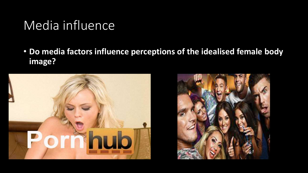#### Media influence

• **Do media factors influence perceptions of the idealised female body image?**



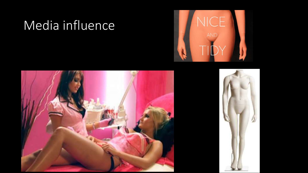## Media influence





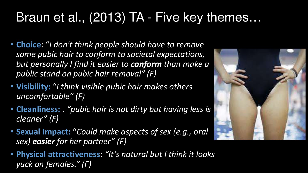# Braun et al., (2013) TA - Five key themes...

- Choice: "I don't think people should have to remove some pubic hair to conform to societal expectations, but personally I find it easier to conform than make a public stand on pubic hair removal" (F)
- Visibility: "I think visible pubic hair makes others uncomfortable" (F)
- Cleanliness: . "pubic hair is not dirty but having less is cleaner" (F)
- Sexual Impact: "Could make aspects of sex (e.g., oral sex) easier for her partner" (F)
- . Physical attractiveness: "It's natural but I think it looks yuck on females." (F)

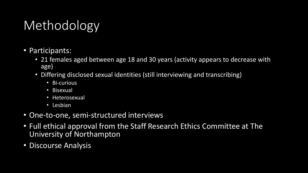# Methodology

- Participants:
	- 21 females aged between age 18 and 30 years (activity appears to decrease with age)
	- Differing disclosed sexual identities (still interviewing and transcribing)
		- Bi-curious
		- Bisexual
		- Heterosexual
		- Lesbian
- One-to-one, semi-structured interviews
- Full ethical approval from the Staff Research Ethics Committee at The University of Northampton
- Discourse Analysis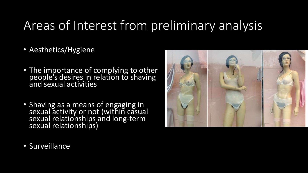## Areas of Interest from preliminary analysis

- Aesthetics/Hygiene
- The importance of complying to other people's desires in relation to shaving and sexual activities
- Shaving as a means of engaging in sexual activity or not (within casual sexual relationships and long-term sexual relationships)



• Surveillance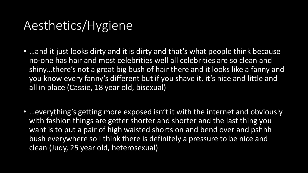#### Aesthetics/Hygiene

- ... and it just looks dirty and it is dirty and that's what people think because no-one has hair and most celebrities well all celebrities are so clean and shiny...there's not a great big bush of hair there and it looks like a fanny and you know every fanny's different but if you shave it, it's nice and little and all in place (Cassie, 18 year old, bisexual)
- ... everything's getting more exposed isn't it with the internet and obviously with fashion things are getter shorter and shorter and the last thing you want is to put a pair of high waisted shorts on and bend over and pshhh bush everywhere so I think there is definitely a pressure to be nice and clean (Judy, 25 year old, heterosexual)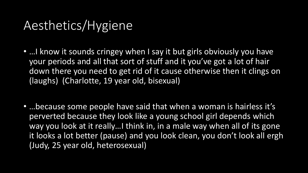#### Aesthetics/Hygiene

- ... I know it sounds cringey when I say it but girls obviously you have your periods and all that sort of stuff and it you've got a lot of hair down there you need to get rid of it cause otherwise then it clings on (laughs) (Charlotte, 19 year old, bisexual)
- ... because some people have said that when a woman is hairless it's perverted because they look like a young school girl depends which way you look at it really... I think in, in a male way when all of its gone it looks a lot better (pause) and you look clean, you don't look all ergh (Judy, 25 year old, heterosexual)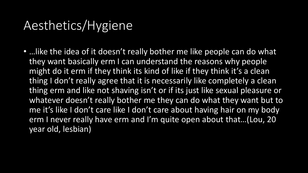#### Aesthetics/Hygiene

... like the idea of it doesn't really bother me like people can do what they want basically erm I can understand the reasons why people might do it erm if they think its kind of like if they think it's a clean thing I don't really agree that it is necessarily like completely a clean thing erm and like not shaving isn't or if its just like sexual pleasure or whatever doesn't really bother me they can do what they want but to me it's like I don't care like I don't care about having hair on my body erm I never really have erm and I'm quite open about that...(Lou, 20 year old, lesbian)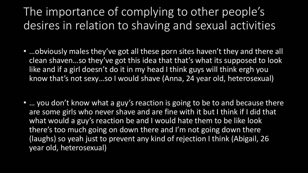#### The importance of complying to other people's desires in relation to shaving and sexual activities

- ... obviously males they've got all these porn sites haven't they and there all clean shaven...so they've got this idea that that's what its supposed to look like and if a girl doesn't do it in my head I think guys will think ergh you know that's not sexy...so I would shave (Anna, 24 year old, heterosexual)
- ... you don't know what a guy's reaction is going to be to and because there are some girls who never shave and are fine with it but I think if I did that what would a guy's reaction be and I would hate them to be like look there's too much going on down there and I'm not going down there (laughs) so yeah just to prevent any kind of rejection I think (Abigail, 26 year old, heterosexual)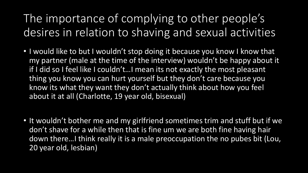The importance of complying to other people's desires in relation to shaving and sexual activities

- . I would like to but I wouldn't stop doing it because you know I know that my partner (male at the time of the interview) wouldn't be happy about it if I did so I feel like I couldn't... I mean its not exactly the most pleasant thing you know you can hurt yourself but they don't care because you know its what they want they don't actually think about how you feel about it at all (Charlotte, 19 year old, bisexual)
- It wouldn't bother me and my girlfriend sometimes trim and stuff but if we don't shave for a while then that is fine um we are both fine having hair down there... I think really it is a male preoccupation the no pubes bit (Lou, 20 year old, lesbian)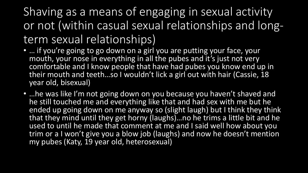Shaving as a means of engaging in sexual activity or not (within casual sexual relationships and longterm sexual relationships)

- ... if you're going to go down on a girl you are putting your face, your mouth, your nose in everything in all the pubes and it's just not very comfortable and I know people that have had pubes you know end up in their mouth and teeth...so I wouldn't lick a girl out with hair (Cassie, 18 year old, bisexual)
- ... he was like I'm not going down on you because you haven't shaved and he still touched me and everything like that and had sex with me but he ended up going down on me anyway so (slight laugh) but I think they think that they mind until they get horny (laughs)...no he trims a little bit and he used to until he made that comment at me and I said well how about you trim or a I won't give you a blow job (laughs) and now he doesn't mention my pubes (Katy, 19 year old, heterosexual)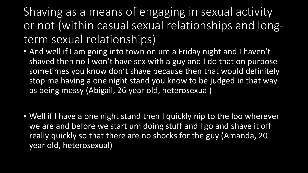Shaving as a means of engaging in sexual activity or not (within casual sexual relationships and longterm sexual relationships)

- And well if I am going into town on um a Friday night and I haven't shaved then no I won't have sex with a guy and I do that on purpose sometimes you know don't shave because then that would definitely stop me having a one night stand you know to be judged in that way as being messy (Abigail, 26 year old, heterosexual)
- Well if I have a one night stand then I quickly nip to the loo wherever we are and before we start um doing stuff and I go and shave it off really quickly so that there are no shocks for the guy (Amanda, 20 year old, heterosexual)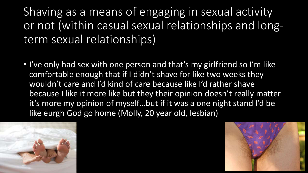Shaving as a means of engaging in sexual activity or not (within casual sexual relationships and longterm sexual relationships)

• I've only had sex with one person and that's my girlfriend so I'm like comfortable enough that if I didn't shave for like two weeks they wouldn't care and I'd kind of care because like I'd rather shave because I like it more like but they their opinion doesn't really matter it's more my opinion of myself...but if it was a one night stand I'd be like eurgh God go home (Molly, 20 year old, lesbian)



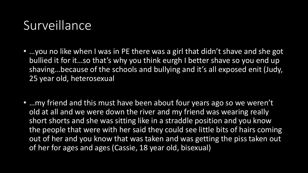### Surveillance

- ... you no like when I was in PE there was a girl that didn't shave and she got bullied it for it...so that's why you think eurgh I better shave so you end up shaving...because of the schools and bullying and it's all exposed enit (Judy, 25 year old, heterosexual
- ... my friend and this must have been about four years ago so we weren't old at all and we were down the river and my friend was wearing really short shorts and she was sitting like in a straddle position and you know the people that were with her said they could see little bits of hairs coming out of her and you know that was taken and was getting the piss taken out of her for ages and ages (Cassie, 18 year old, bisexual)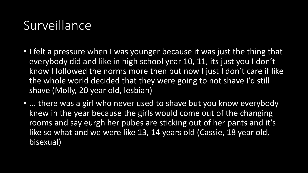## Surveillance

- I felt a pressure when I was younger because it was just the thing that everybody did and like in high school year 10, 11, its just you I don't know I followed the norms more then but now I just I don't care if like the whole world decided that they were going to not shave I'd still shave (Molly, 20 year old, lesbian)
- ... there was a girl who never used to shave but you know everybody knew in the year because the girls would come out of the changing rooms and say eurgh her pubes are sticking out of her pants and it's like so what and we were like 13, 14 years old (Cassie, 18 year old, bisexual)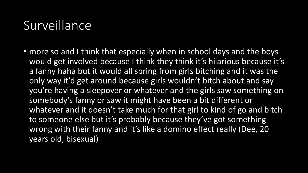#### Surveillance

• more so and I think that especially when in school days and the boys would get involved because I think they think it's hilarious because it's a fanny haha but it would all spring from girls bitching and it was the only way it'd get around because girls wouldn't bitch about and say you're having a sleepover or whatever and the girls saw something on somebody's fanny or saw it might have been a bit different or whatever and it doesn't take much for that girl to kind of go and bitch to someone else but it's probably because they've got something wrong with their fanny and it's like a domino effect really (Dee, 20 years old, bisexual)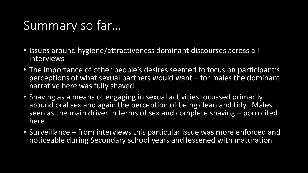## Summary so far...

- Issues around hygiene/attractiveness dominant discourses across all interviews
- The importance of other people's desires seemed to focus on participant's perceptions of what sexual partners would want – for males the dominant narrative here was fully shaved
- Shaving as a means of engaging in sexual activities focussed primarily around oral sex and again the perception of being clean and tidy. Males seen as the main driver in terms of sex and complete shaving – porn cited here
- Surveillance from interviews this particular issue was more enforced and noticeable during Secondary school years and lessened with maturation